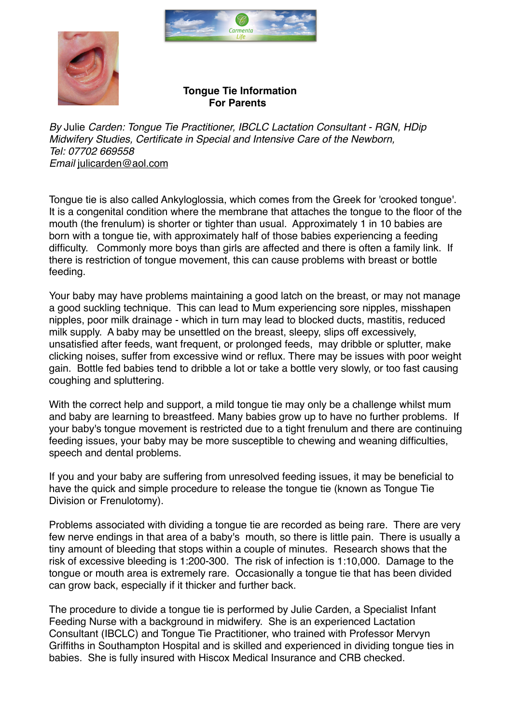



## **Tongue Tie Information For Parents**

*By* Julie *Carden: Tongue Tie Practitioner, IBCLC Lactation Consultant - RGN, HDip Midwifery Studies, Certificate in Special and Intensive Care of the Newborn, Tel: 07702 669558 Email* [julicarden@aol.com](mailto:julicarden@aol.com)

Tongue tie is also called Ankyloglossia, which comes from the Greek for 'crooked tongue'. It is a congenital condition where the membrane that attaches the tongue to the floor of the mouth (the frenulum) is shorter or tighter than usual. Approximately 1 in 10 babies are born with a tongue tie, with approximately half of those babies experiencing a feeding difficulty. Commonly more boys than girls are affected and there is often a family link. If there is restriction of tongue movement, this can cause problems with breast or bottle feeding.

Your baby may have problems maintaining a good latch on the breast, or may not manage a good suckling technique. This can lead to Mum experiencing sore nipples, misshapen nipples, poor milk drainage - which in turn may lead to blocked ducts, mastitis, reduced milk supply. A baby may be unsettled on the breast, sleepy, slips off excessively, unsatisfied after feeds, want frequent, or prolonged feeds, may dribble or splutter, make clicking noises, suffer from excessive wind or reflux. There may be issues with poor weight gain. Bottle fed babies tend to dribble a lot or take a bottle very slowly, or too fast causing coughing and spluttering.

With the correct help and support, a mild tongue tie may only be a challenge whilst mum and baby are learning to breastfeed. Many babies grow up to have no further problems. If your baby's tongue movement is restricted due to a tight frenulum and there are continuing feeding issues, your baby may be more susceptible to chewing and weaning difficulties, speech and dental problems.

If you and your baby are suffering from unresolved feeding issues, it may be beneficial to have the quick and simple procedure to release the tongue tie (known as Tongue Tie Division or Frenulotomy).

Problems associated with dividing a tongue tie are recorded as being rare. There are very few nerve endings in that area of a baby's mouth, so there is little pain. There is usually a tiny amount of bleeding that stops within a couple of minutes. Research shows that the risk of excessive bleeding is 1:200-300. The risk of infection is 1:10,000. Damage to the tongue or mouth area is extremely rare. Occasionally a tongue tie that has been divided can grow back, especially if it thicker and further back.

The procedure to divide a tongue tie is performed by Julie Carden, a Specialist Infant Feeding Nurse with a background in midwifery. She is an experienced Lactation Consultant (IBCLC) and Tongue Tie Practitioner, who trained with Professor Mervyn Griffiths in Southampton Hospital and is skilled and experienced in dividing tongue ties in babies. She is fully insured with Hiscox Medical Insurance and CRB checked.